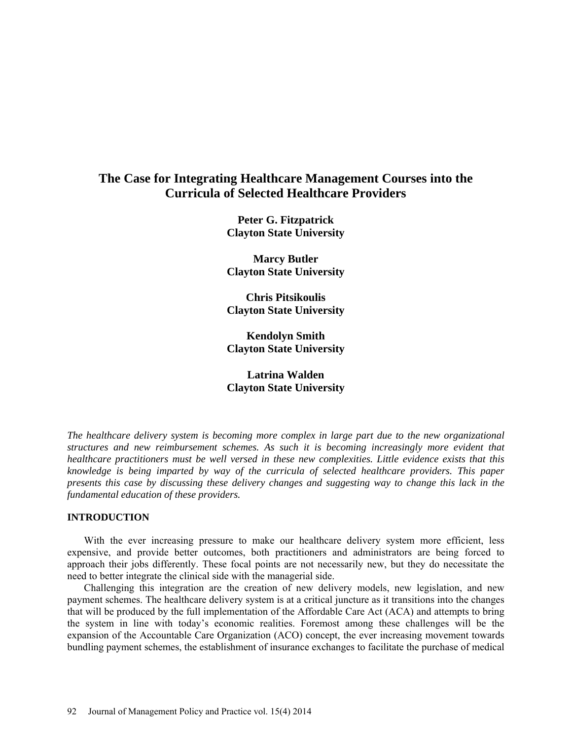# **The Case for Integrating Healthcare Management Courses into the Curricula of Selected Healthcare Providers**

**Peter G. Fitzpatrick Clayton State University** 

**Marcy Butler Clayton State University**

**Chris Pitsikoulis Clayton State University** 

**Kendolyn Smith Clayton State University** 

**Latrina Walden Clayton State University** 

*The healthcare delivery system is becoming more complex in large part due to the new organizational structures and new reimbursement schemes. As such it is becoming increasingly more evident that healthcare practitioners must be well versed in these new complexities. Little evidence exists that this knowledge is being imparted by way of the curricula of selected healthcare providers. This paper presents this case by discussing these delivery changes and suggesting way to change this lack in the fundamental education of these providers.*

### **INTRODUCTION**

With the ever increasing pressure to make our healthcare delivery system more efficient, less expensive, and provide better outcomes, both practitioners and administrators are being forced to approach their jobs differently. These focal points are not necessarily new, but they do necessitate the need to better integrate the clinical side with the managerial side.

Challenging this integration are the creation of new delivery models, new legislation, and new payment schemes. The healthcare delivery system is at a critical juncture as it transitions into the changes that will be produced by the full implementation of the Affordable Care Act (ACA) and attempts to bring the system in line with today's economic realities. Foremost among these challenges will be the expansion of the Accountable Care Organization (ACO) concept, the ever increasing movement towards bundling payment schemes, the establishment of insurance exchanges to facilitate the purchase of medical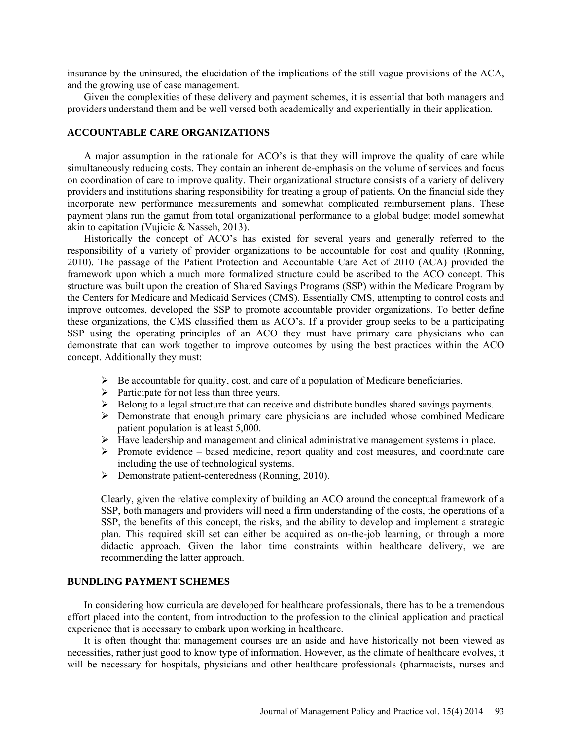insurance by the uninsured, the elucidation of the implications of the still vague provisions of the ACA, and the growing use of case management.

Given the complexities of these delivery and payment schemes, it is essential that both managers and providers understand them and be well versed both academically and experientially in their application.

### **ACCOUNTABLE CARE ORGANIZATIONS**

A major assumption in the rationale for ACO's is that they will improve the quality of care while simultaneously reducing costs. They contain an inherent de-emphasis on the volume of services and focus on coordination of care to improve quality. Their organizational structure consists of a variety of delivery providers and institutions sharing responsibility for treating a group of patients. On the financial side they incorporate new performance measurements and somewhat complicated reimbursement plans. These payment plans run the gamut from total organizational performance to a global budget model somewhat akin to capitation (Vujicic & Nasseh, 2013).

Historically the concept of ACO's has existed for several years and generally referred to the responsibility of a variety of provider organizations to be accountable for cost and quality (Ronning, 2010). The passage of the Patient Protection and Accountable Care Act of 2010 (ACA) provided the framework upon which a much more formalized structure could be ascribed to the ACO concept. This structure was built upon the creation of Shared Savings Programs (SSP) within the Medicare Program by the Centers for Medicare and Medicaid Services (CMS). Essentially CMS, attempting to control costs and improve outcomes, developed the SSP to promote accountable provider organizations. To better define these organizations, the CMS classified them as ACO's. If a provider group seeks to be a participating SSP using the operating principles of an ACO they must have primary care physicians who can demonstrate that can work together to improve outcomes by using the best practices within the ACO concept. Additionally they must:

- $\triangleright$  Be accountable for quality, cost, and care of a population of Medicare beneficiaries.
- $\triangleright$  Participate for not less than three years.
- $\triangleright$  Belong to a legal structure that can receive and distribute bundles shared savings payments.
- Demonstrate that enough primary care physicians are included whose combined Medicare patient population is at least 5,000.
- $\triangleright$  Have leadership and management and clinical administrative management systems in place.
- $\triangleright$  Promote evidence based medicine, report quality and cost measures, and coordinate care including the use of technological systems.
- **Demonstrate patient-centeredness (Ronning, 2010).**

Clearly, given the relative complexity of building an ACO around the conceptual framework of a SSP, both managers and providers will need a firm understanding of the costs, the operations of a SSP, the benefits of this concept, the risks, and the ability to develop and implement a strategic plan. This required skill set can either be acquired as on-the-job learning, or through a more didactic approach. Given the labor time constraints within healthcare delivery, we are recommending the latter approach.

### **BUNDLING PAYMENT SCHEMES**

In considering how curricula are developed for healthcare professionals, there has to be a tremendous effort placed into the content, from introduction to the profession to the clinical application and practical experience that is necessary to embark upon working in healthcare.

It is often thought that management courses are an aside and have historically not been viewed as necessities, rather just good to know type of information. However, as the climate of healthcare evolves, it will be necessary for hospitals, physicians and other healthcare professionals (pharmacists, nurses and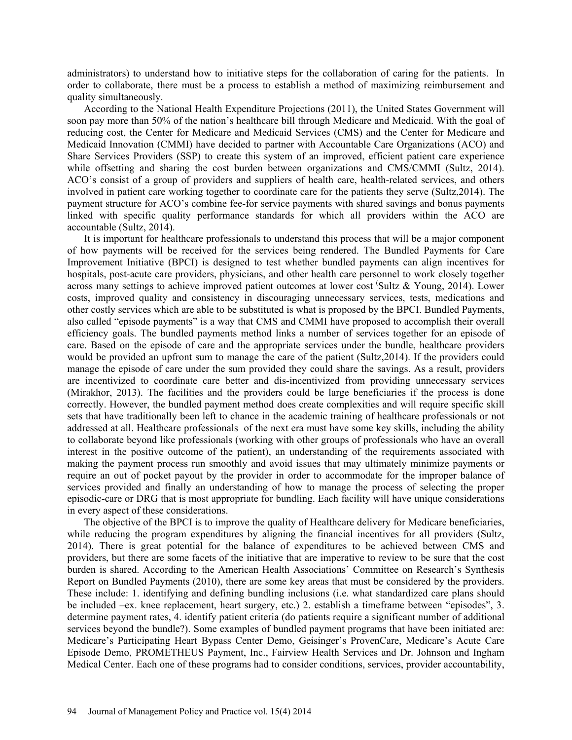administrators) to understand how to initiative steps for the collaboration of caring for the patients. In order to collaborate, there must be a process to establish a method of maximizing reimbursement and quality simultaneously.

According to the National Health Expenditure Projections (2011), the United States Government will soon pay more than 50% of the nation's healthcare bill through Medicare and Medicaid. With the goal of reducing cost, the Center for Medicare and Medicaid Services (CMS) and the Center for Medicare and Medicaid Innovation (CMMI) have decided to partner with Accountable Care Organizations (ACO) and Share Services Providers (SSP) to create this system of an improved, efficient patient care experience while offsetting and sharing the cost burden between organizations and CMS/CMMI (Sultz, 2014). ACO's consist of a group of providers and suppliers of health care, health-related services, and others involved in patient care working together to coordinate care for the patients they serve (Sultz,2014). The payment structure for ACO's combine fee-for service payments with shared savings and bonus payments linked with specific quality performance standards for which all providers within the ACO are accountable (Sultz, 2014).

It is important for healthcare professionals to understand this process that will be a major component of how payments will be received for the services being rendered. The Bundled Payments for Care Improvement Initiative (BPCI) is designed to test whether bundled payments can align incentives for hospitals, post-acute care providers, physicians, and other health care personnel to work closely together across many settings to achieve improved patient outcomes at lower cost ( Sultz & Young, 2014). Lower costs, improved quality and consistency in discouraging unnecessary services, tests, medications and other costly services which are able to be substituted is what is proposed by the BPCI. Bundled Payments, also called "episode payments" is a way that CMS and CMMI have proposed to accomplish their overall efficiency goals. The bundled payments method links a number of services together for an episode of care. Based on the episode of care and the appropriate services under the bundle, healthcare providers would be provided an upfront sum to manage the care of the patient (Sultz,2014). If the providers could manage the episode of care under the sum provided they could share the savings. As a result, providers are incentivized to coordinate care better and dis-incentivized from providing unnecessary services (Mirakhor, 2013). The facilities and the providers could be large beneficiaries if the process is done correctly. However, the bundled payment method does create complexities and will require specific skill sets that have traditionally been left to chance in the academic training of healthcare professionals or not addressed at all. Healthcare professionals of the next era must have some key skills, including the ability to collaborate beyond like professionals (working with other groups of professionals who have an overall interest in the positive outcome of the patient), an understanding of the requirements associated with making the payment process run smoothly and avoid issues that may ultimately minimize payments or require an out of pocket payout by the provider in order to accommodate for the improper balance of services provided and finally an understanding of how to manage the process of selecting the proper episodic-care or DRG that is most appropriate for bundling. Each facility will have unique considerations in every aspect of these considerations.

The objective of the BPCI is to improve the quality of Healthcare delivery for Medicare beneficiaries, while reducing the program expenditures by aligning the financial incentives for all providers (Sultz, 2014). There is great potential for the balance of expenditures to be achieved between CMS and providers, but there are some facets of the initiative that are imperative to review to be sure that the cost burden is shared. According to the American Health Associations' Committee on Research's Synthesis Report on Bundled Payments (2010), there are some key areas that must be considered by the providers. These include: 1. identifying and defining bundling inclusions (i.e. what standardized care plans should be included –ex. knee replacement, heart surgery, etc.) 2. establish a timeframe between "episodes", 3. determine payment rates, 4. identify patient criteria (do patients require a significant number of additional services beyond the bundle?). Some examples of bundled payment programs that have been initiated are: Medicare's Participating Heart Bypass Center Demo, Geisinger's ProvenCare, Medicare's Acute Care Episode Demo, PROMETHEUS Payment, Inc., Fairview Health Services and Dr. Johnson and Ingham Medical Center. Each one of these programs had to consider conditions, services, provider accountability,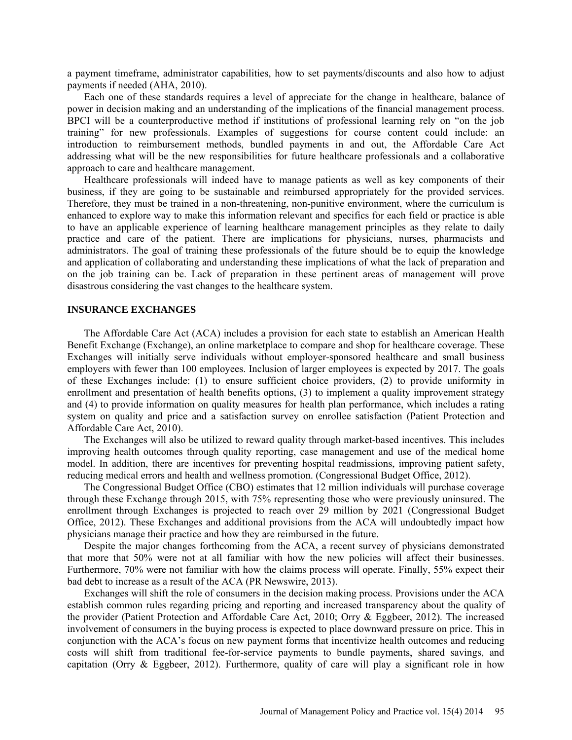a payment timeframe, administrator capabilities, how to set payments/discounts and also how to adjust payments if needed (AHA, 2010).

Each one of these standards requires a level of appreciate for the change in healthcare, balance of power in decision making and an understanding of the implications of the financial management process. BPCI will be a counterproductive method if institutions of professional learning rely on "on the job training" for new professionals. Examples of suggestions for course content could include: an introduction to reimbursement methods, bundled payments in and out, the Affordable Care Act addressing what will be the new responsibilities for future healthcare professionals and a collaborative approach to care and healthcare management.

Healthcare professionals will indeed have to manage patients as well as key components of their business, if they are going to be sustainable and reimbursed appropriately for the provided services. Therefore, they must be trained in a non-threatening, non-punitive environment, where the curriculum is enhanced to explore way to make this information relevant and specifics for each field or practice is able to have an applicable experience of learning healthcare management principles as they relate to daily practice and care of the patient. There are implications for physicians, nurses, pharmacists and administrators. The goal of training these professionals of the future should be to equip the knowledge and application of collaborating and understanding these implications of what the lack of preparation and on the job training can be. Lack of preparation in these pertinent areas of management will prove disastrous considering the vast changes to the healthcare system.

### **INSURANCE EXCHANGES**

The Affordable Care Act (ACA) includes a provision for each state to establish an American Health Benefit Exchange (Exchange), an online marketplace to compare and shop for healthcare coverage. These Exchanges will initially serve individuals without employer-sponsored healthcare and small business employers with fewer than 100 employees. Inclusion of larger employees is expected by 2017. The goals of these Exchanges include: (1) to ensure sufficient choice providers, (2) to provide uniformity in enrollment and presentation of health benefits options, (3) to implement a quality improvement strategy and (4) to provide information on quality measures for health plan performance, which includes a rating system on quality and price and a satisfaction survey on enrollee satisfaction (Patient Protection and Affordable Care Act, 2010).

The Exchanges will also be utilized to reward quality through market-based incentives. This includes improving health outcomes through quality reporting, case management and use of the medical home model. In addition, there are incentives for preventing hospital readmissions, improving patient safety, reducing medical errors and health and wellness promotion. (Congressional Budget Office, 2012).

The Congressional Budget Office (CBO) estimates that 12 million individuals will purchase coverage through these Exchange through 2015, with 75% representing those who were previously uninsured. The enrollment through Exchanges is projected to reach over 29 million by 2021 (Congressional Budget Office, 2012). These Exchanges and additional provisions from the ACA will undoubtedly impact how physicians manage their practice and how they are reimbursed in the future.

Despite the major changes forthcoming from the ACA, a recent survey of physicians demonstrated that more that 50% were not at all familiar with how the new policies will affect their businesses. Furthermore, 70% were not familiar with how the claims process will operate. Finally, 55% expect their bad debt to increase as a result of the ACA (PR Newswire, 2013).

Exchanges will shift the role of consumers in the decision making process. Provisions under the ACA establish common rules regarding pricing and reporting and increased transparency about the quality of the provider (Patient Protection and Affordable Care Act, 2010; Orry & Eggbeer, 2012). The increased involvement of consumers in the buying process is expected to place downward pressure on price. This in conjunction with the ACA's focus on new payment forms that incentivize health outcomes and reducing costs will shift from traditional fee-for-service payments to bundle payments, shared savings, and capitation (Orry  $\&$  Eggbeer, 2012). Furthermore, quality of care will play a significant role in how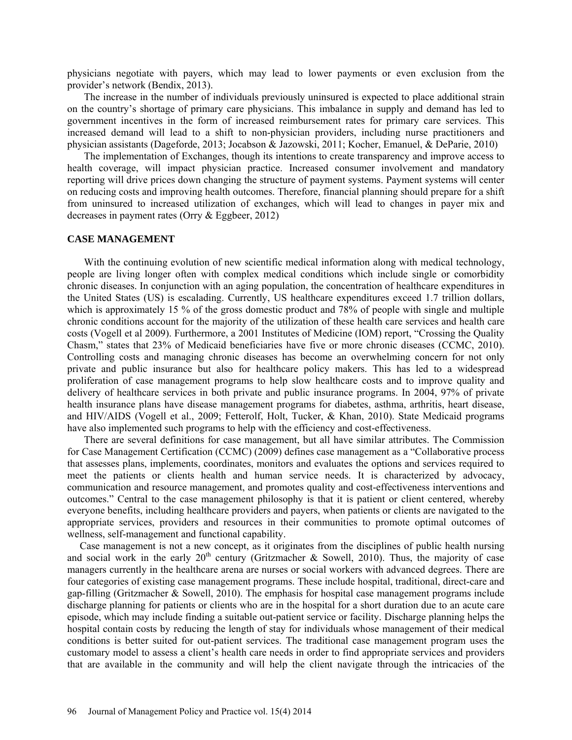physicians negotiate with payers, which may lead to lower payments or even exclusion from the provider's network (Bendix, 2013).

The increase in the number of individuals previously uninsured is expected to place additional strain on the country's shortage of primary care physicians. This imbalance in supply and demand has led to government incentives in the form of increased reimbursement rates for primary care services. This increased demand will lead to a shift to non-physician providers, including nurse practitioners and physician assistants (Dageforde, 2013; Jocabson & Jazowski, 2011; Kocher, Emanuel, & DeParie, 2010)

The implementation of Exchanges, though its intentions to create transparency and improve access to health coverage, will impact physician practice. Increased consumer involvement and mandatory reporting will drive prices down changing the structure of payment systems. Payment systems will center on reducing costs and improving health outcomes. Therefore, financial planning should prepare for a shift from uninsured to increased utilization of exchanges, which will lead to changes in payer mix and decreases in payment rates (Orry & Eggbeer, 2012)

### **CASE MANAGEMENT**

With the continuing evolution of new scientific medical information along with medical technology, people are living longer often with complex medical conditions which include single or comorbidity chronic diseases. In conjunction with an aging population, the concentration of healthcare expenditures in the United States (US) is escalading. Currently, US healthcare expenditures exceed 1.7 trillion dollars, which is approximately 15 % of the gross domestic product and 78% of people with single and multiple chronic conditions account for the majority of the utilization of these health care services and health care costs (Vogell et al 2009). Furthermore, a 2001 Institutes of Medicine (IOM) report, "Crossing the Quality Chasm," states that 23% of Medicaid beneficiaries have five or more chronic diseases (CCMC, 2010). Controlling costs and managing chronic diseases has become an overwhelming concern for not only private and public insurance but also for healthcare policy makers. This has led to a widespread proliferation of case management programs to help slow healthcare costs and to improve quality and delivery of healthcare services in both private and public insurance programs. In 2004, 97% of private health insurance plans have disease management programs for diabetes, asthma, arthritis, heart disease, and HIV/AIDS (Vogell et al., 2009; Fetterolf, Holt, Tucker, & Khan, 2010). State Medicaid programs have also implemented such programs to help with the efficiency and cost-effectiveness.

There are several definitions for case management, but all have similar attributes. The Commission for Case Management Certification (CCMC) (2009) defines case management as a "Collaborative process that assesses plans, implements, coordinates, monitors and evaluates the options and services required to meet the patients or clients health and human service needs. It is characterized by advocacy, communication and resource management, and promotes quality and cost-effectiveness interventions and outcomes." Central to the case management philosophy is that it is patient or client centered, whereby everyone benefits, including healthcare providers and payers, when patients or clients are navigated to the appropriate services, providers and resources in their communities to promote optimal outcomes of wellness, self-management and functional capability.

Case management is not a new concept, as it originates from the disciplines of public health nursing and social work in the early  $20<sup>th</sup>$  century (Gritzmacher & Sowell, 2010). Thus, the majority of case managers currently in the healthcare arena are nurses or social workers with advanced degrees. There are four categories of existing case management programs. These include hospital, traditional, direct-care and gap-filling (Gritzmacher & Sowell, 2010). The emphasis for hospital case management programs include discharge planning for patients or clients who are in the hospital for a short duration due to an acute care episode, which may include finding a suitable out-patient service or facility. Discharge planning helps the hospital contain costs by reducing the length of stay for individuals whose management of their medical conditions is better suited for out-patient services. The traditional case management program uses the customary model to assess a client's health care needs in order to find appropriate services and providers that are available in the community and will help the client navigate through the intricacies of the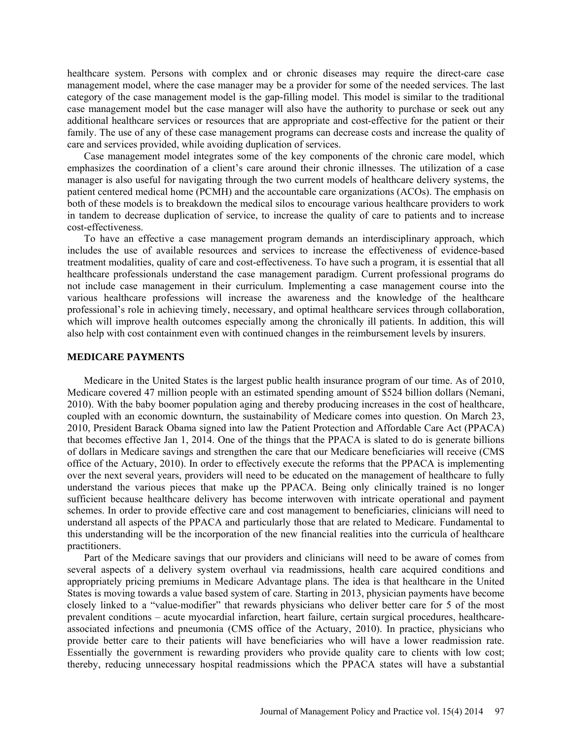healthcare system. Persons with complex and or chronic diseases may require the direct-care case management model, where the case manager may be a provider for some of the needed services. The last category of the case management model is the gap-filling model. This model is similar to the traditional case management model but the case manager will also have the authority to purchase or seek out any additional healthcare services or resources that are appropriate and cost-effective for the patient or their family. The use of any of these case management programs can decrease costs and increase the quality of care and services provided, while avoiding duplication of services.

Case management model integrates some of the key components of the chronic care model, which emphasizes the coordination of a client's care around their chronic illnesses. The utilization of a case manager is also useful for navigating through the two current models of healthcare delivery systems, the patient centered medical home (PCMH) and the accountable care organizations (ACOs). The emphasis on both of these models is to breakdown the medical silos to encourage various healthcare providers to work in tandem to decrease duplication of service, to increase the quality of care to patients and to increase cost-effectiveness.

To have an effective a case management program demands an interdisciplinary approach, which includes the use of available resources and services to increase the effectiveness of evidence-based treatment modalities, quality of care and cost-effectiveness. To have such a program, it is essential that all healthcare professionals understand the case management paradigm. Current professional programs do not include case management in their curriculum. Implementing a case management course into the various healthcare professions will increase the awareness and the knowledge of the healthcare professional's role in achieving timely, necessary, and optimal healthcare services through collaboration, which will improve health outcomes especially among the chronically ill patients. In addition, this will also help with cost containment even with continued changes in the reimbursement levels by insurers.

# **MEDICARE PAYMENTS**

Medicare in the United States is the largest public health insurance program of our time. As of 2010, Medicare covered 47 million people with an estimated spending amount of \$524 billion dollars (Nemani, 2010). With the baby boomer population aging and thereby producing increases in the cost of healthcare, coupled with an economic downturn, the sustainability of Medicare comes into question. On March 23, 2010, President Barack Obama signed into law the Patient Protection and Affordable Care Act (PPACA) that becomes effective Jan 1, 2014. One of the things that the PPACA is slated to do is generate billions of dollars in Medicare savings and strengthen the care that our Medicare beneficiaries will receive (CMS office of the Actuary, 2010). In order to effectively execute the reforms that the PPACA is implementing over the next several years, providers will need to be educated on the management of healthcare to fully understand the various pieces that make up the PPACA. Being only clinically trained is no longer sufficient because healthcare delivery has become interwoven with intricate operational and payment schemes. In order to provide effective care and cost management to beneficiaries, clinicians will need to understand all aspects of the PPACA and particularly those that are related to Medicare. Fundamental to this understanding will be the incorporation of the new financial realities into the curricula of healthcare practitioners.

Part of the Medicare savings that our providers and clinicians will need to be aware of comes from several aspects of a delivery system overhaul via readmissions, health care acquired conditions and appropriately pricing premiums in Medicare Advantage plans. The idea is that healthcare in the United States is moving towards a value based system of care. Starting in 2013, physician payments have become closely linked to a "value-modifier" that rewards physicians who deliver better care for 5 of the most prevalent conditions – acute myocardial infarction, heart failure, certain surgical procedures, healthcareassociated infections and pneumonia (CMS office of the Actuary, 2010). In practice, physicians who provide better care to their patients will have beneficiaries who will have a lower readmission rate. Essentially the government is rewarding providers who provide quality care to clients with low cost; thereby, reducing unnecessary hospital readmissions which the PPACA states will have a substantial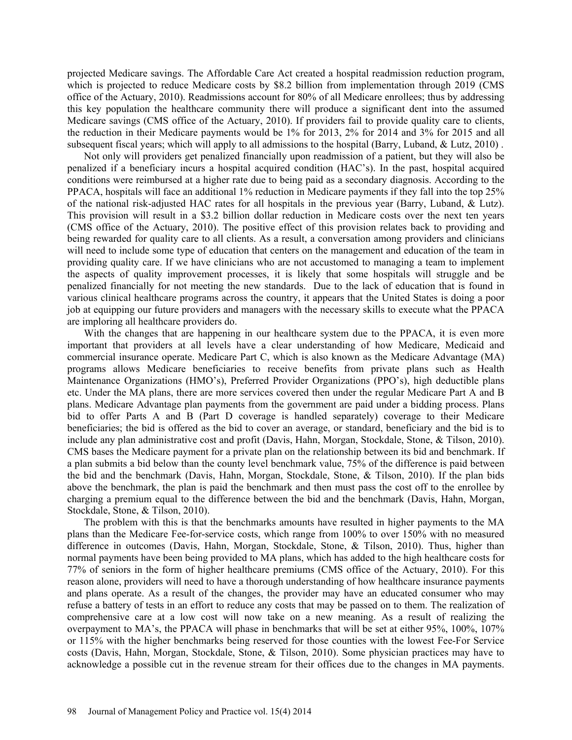projected Medicare savings. The Affordable Care Act created a hospital readmission reduction program, which is projected to reduce Medicare costs by \$8.2 billion from implementation through 2019 (CMS office of the Actuary, 2010). Readmissions account for 80% of all Medicare enrollees; thus by addressing this key population the healthcare community there will produce a significant dent into the assumed Medicare savings (CMS office of the Actuary, 2010). If providers fail to provide quality care to clients, the reduction in their Medicare payments would be 1% for 2013, 2% for 2014 and 3% for 2015 and all subsequent fiscal years; which will apply to all admissions to the hospital (Barry, Luband, & Lutz, 2010).

Not only will providers get penalized financially upon readmission of a patient, but they will also be penalized if a beneficiary incurs a hospital acquired condition (HAC's). In the past, hospital acquired conditions were reimbursed at a higher rate due to being paid as a secondary diagnosis. According to the PPACA, hospitals will face an additional 1% reduction in Medicare payments if they fall into the top 25% of the national risk-adjusted HAC rates for all hospitals in the previous year (Barry, Luband, & Lutz). This provision will result in a \$3.2 billion dollar reduction in Medicare costs over the next ten years (CMS office of the Actuary, 2010). The positive effect of this provision relates back to providing and being rewarded for quality care to all clients. As a result, a conversation among providers and clinicians will need to include some type of education that centers on the management and education of the team in providing quality care. If we have clinicians who are not accustomed to managing a team to implement the aspects of quality improvement processes, it is likely that some hospitals will struggle and be penalized financially for not meeting the new standards. Due to the lack of education that is found in various clinical healthcare programs across the country, it appears that the United States is doing a poor job at equipping our future providers and managers with the necessary skills to execute what the PPACA are imploring all healthcare providers do.

With the changes that are happening in our healthcare system due to the PPACA, it is even more important that providers at all levels have a clear understanding of how Medicare, Medicaid and commercial insurance operate. Medicare Part C, which is also known as the Medicare Advantage (MA) programs allows Medicare beneficiaries to receive benefits from private plans such as Health Maintenance Organizations (HMO's), Preferred Provider Organizations (PPO's), high deductible plans etc. Under the MA plans, there are more services covered then under the regular Medicare Part A and B plans. Medicare Advantage plan payments from the government are paid under a bidding process. Plans bid to offer Parts A and B (Part D coverage is handled separately) coverage to their Medicare beneficiaries; the bid is offered as the bid to cover an average, or standard, beneficiary and the bid is to include any plan administrative cost and profit (Davis, Hahn, Morgan, Stockdale, Stone, & Tilson, 2010). CMS bases the Medicare payment for a private plan on the relationship between its bid and benchmark. If a plan submits a bid below than the county level benchmark value, 75% of the difference is paid between the bid and the benchmark (Davis, Hahn, Morgan, Stockdale, Stone, & Tilson, 2010). If the plan bids above the benchmark, the plan is paid the benchmark and then must pass the cost off to the enrollee by charging a premium equal to the difference between the bid and the benchmark (Davis, Hahn, Morgan, Stockdale, Stone, & Tilson, 2010).

The problem with this is that the benchmarks amounts have resulted in higher payments to the MA plans than the Medicare Fee-for-service costs, which range from 100% to over 150% with no measured difference in outcomes (Davis, Hahn, Morgan, Stockdale, Stone, & Tilson, 2010). Thus, higher than normal payments have been being provided to MA plans, which has added to the high healthcare costs for 77% of seniors in the form of higher healthcare premiums (CMS office of the Actuary, 2010). For this reason alone, providers will need to have a thorough understanding of how healthcare insurance payments and plans operate. As a result of the changes, the provider may have an educated consumer who may refuse a battery of tests in an effort to reduce any costs that may be passed on to them. The realization of comprehensive care at a low cost will now take on a new meaning. As a result of realizing the overpayment to MA's, the PPACA will phase in benchmarks that will be set at either 95%, 100%, 107% or 115% with the higher benchmarks being reserved for those counties with the lowest Fee-For Service costs (Davis, Hahn, Morgan, Stockdale, Stone, & Tilson, 2010). Some physician practices may have to acknowledge a possible cut in the revenue stream for their offices due to the changes in MA payments.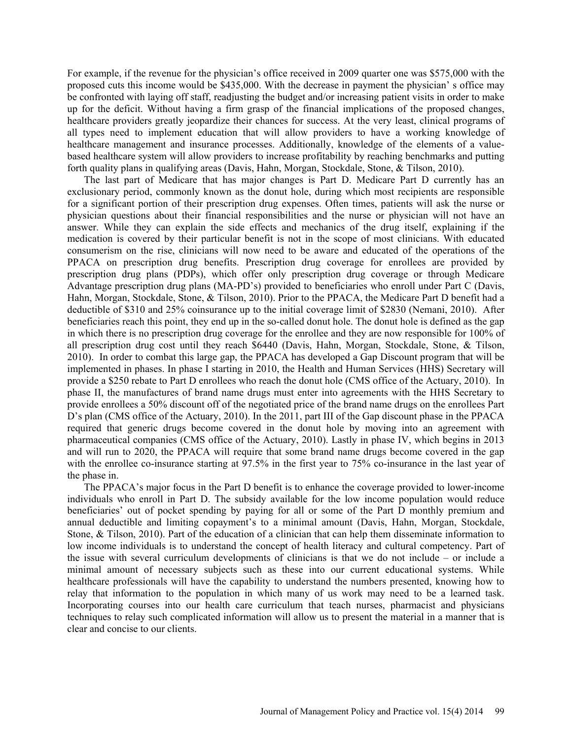For example, if the revenue for the physician's office received in 2009 quarter one was \$575,000 with the proposed cuts this income would be \$435,000. With the decrease in payment the physician' s office may be confronted with laying off staff, readjusting the budget and/or increasing patient visits in order to make up for the deficit. Without having a firm grasp of the financial implications of the proposed changes, healthcare providers greatly jeopardize their chances for success. At the very least, clinical programs of all types need to implement education that will allow providers to have a working knowledge of healthcare management and insurance processes. Additionally, knowledge of the elements of a valuebased healthcare system will allow providers to increase profitability by reaching benchmarks and putting forth quality plans in qualifying areas (Davis, Hahn, Morgan, Stockdale, Stone, & Tilson, 2010).

The last part of Medicare that has major changes is Part D. Medicare Part D currently has an exclusionary period, commonly known as the donut hole, during which most recipients are responsible for a significant portion of their prescription drug expenses. Often times, patients will ask the nurse or physician questions about their financial responsibilities and the nurse or physician will not have an answer. While they can explain the side effects and mechanics of the drug itself, explaining if the medication is covered by their particular benefit is not in the scope of most clinicians. With educated consumerism on the rise, clinicians will now need to be aware and educated of the operations of the PPACA on prescription drug benefits. Prescription drug coverage for enrollees are provided by prescription drug plans (PDPs), which offer only prescription drug coverage or through Medicare Advantage prescription drug plans (MA-PD's) provided to beneficiaries who enroll under Part C (Davis, Hahn, Morgan, Stockdale, Stone, & Tilson, 2010). Prior to the PPACA, the Medicare Part D benefit had a deductible of \$310 and 25% coinsurance up to the initial coverage limit of \$2830 (Nemani, 2010). After beneficiaries reach this point, they end up in the so-called donut hole. The donut hole is defined as the gap in which there is no prescription drug coverage for the enrollee and they are now responsible for 100% of all prescription drug cost until they reach \$6440 (Davis, Hahn, Morgan, Stockdale, Stone, & Tilson, 2010). In order to combat this large gap, the PPACA has developed a Gap Discount program that will be implemented in phases. In phase I starting in 2010, the Health and Human Services (HHS) Secretary will provide a \$250 rebate to Part D enrollees who reach the donut hole (CMS office of the Actuary, 2010). In phase II, the manufactures of brand name drugs must enter into agreements with the HHS Secretary to provide enrollees a 50% discount off of the negotiated price of the brand name drugs on the enrollees Part D's plan (CMS office of the Actuary, 2010). In the 2011, part III of the Gap discount phase in the PPACA required that generic drugs become covered in the donut hole by moving into an agreement with pharmaceutical companies (CMS office of the Actuary, 2010). Lastly in phase IV, which begins in 2013 and will run to 2020, the PPACA will require that some brand name drugs become covered in the gap with the enrollee co-insurance starting at 97.5% in the first year to 75% co-insurance in the last year of the phase in.

The PPACA's major focus in the Part D benefit is to enhance the coverage provided to lower-income individuals who enroll in Part D. The subsidy available for the low income population would reduce beneficiaries' out of pocket spending by paying for all or some of the Part D monthly premium and annual deductible and limiting copayment's to a minimal amount (Davis, Hahn, Morgan, Stockdale, Stone, & Tilson, 2010). Part of the education of a clinician that can help them disseminate information to low income individuals is to understand the concept of health literacy and cultural competency. Part of the issue with several curriculum developments of clinicians is that we do not include – or include a minimal amount of necessary subjects such as these into our current educational systems. While healthcare professionals will have the capability to understand the numbers presented, knowing how to relay that information to the population in which many of us work may need to be a learned task. Incorporating courses into our health care curriculum that teach nurses, pharmacist and physicians techniques to relay such complicated information will allow us to present the material in a manner that is clear and concise to our clients.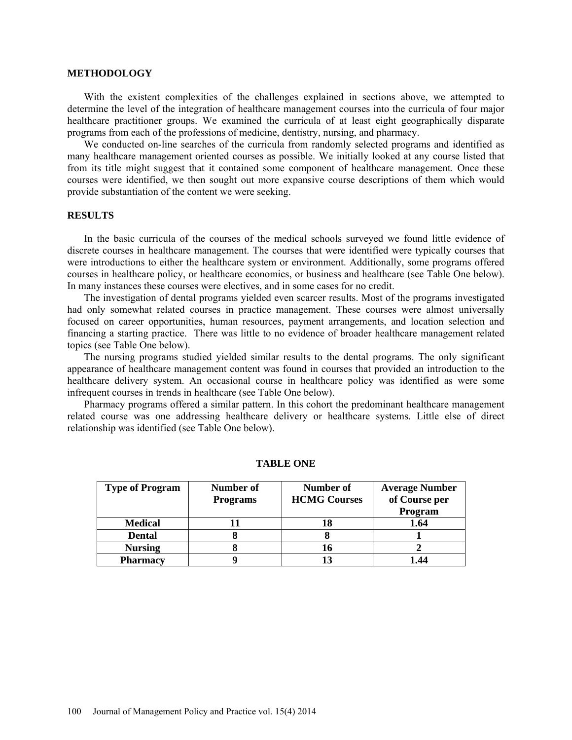#### **METHODOLOGY**

With the existent complexities of the challenges explained in sections above, we attempted to determine the level of the integration of healthcare management courses into the curricula of four major healthcare practitioner groups. We examined the curricula of at least eight geographically disparate programs from each of the professions of medicine, dentistry, nursing, and pharmacy.

We conducted on-line searches of the curricula from randomly selected programs and identified as many healthcare management oriented courses as possible. We initially looked at any course listed that from its title might suggest that it contained some component of healthcare management. Once these courses were identified, we then sought out more expansive course descriptions of them which would provide substantiation of the content we were seeking.

# **RESULTS**

In the basic curricula of the courses of the medical schools surveyed we found little evidence of discrete courses in healthcare management. The courses that were identified were typically courses that were introductions to either the healthcare system or environment. Additionally, some programs offered courses in healthcare policy, or healthcare economics, or business and healthcare (see Table One below). In many instances these courses were electives, and in some cases for no credit.

The investigation of dental programs yielded even scarcer results. Most of the programs investigated had only somewhat related courses in practice management. These courses were almost universally focused on career opportunities, human resources, payment arrangements, and location selection and financing a starting practice. There was little to no evidence of broader healthcare management related topics (see Table One below).

The nursing programs studied yielded similar results to the dental programs. The only significant appearance of healthcare management content was found in courses that provided an introduction to the healthcare delivery system. An occasional course in healthcare policy was identified as were some infrequent courses in trends in healthcare (see Table One below).

Pharmacy programs offered a similar pattern. In this cohort the predominant healthcare management related course was one addressing healthcare delivery or healthcare systems. Little else of direct relationship was identified (see Table One below).

| <b>Type of Program</b> | Number of       | Number of           | <b>Average Number</b> |
|------------------------|-----------------|---------------------|-----------------------|
|                        | <b>Programs</b> | <b>HCMG Courses</b> | of Course per         |
|                        |                 |                     | Program               |
| <b>Medical</b>         |                 | 18                  | 1.64                  |
| <b>Dental</b>          |                 |                     |                       |
| <b>Nursing</b>         |                 | 16                  |                       |
| <b>Pharmacy</b>        |                 |                     | 1.44                  |

#### **TABLE ONE**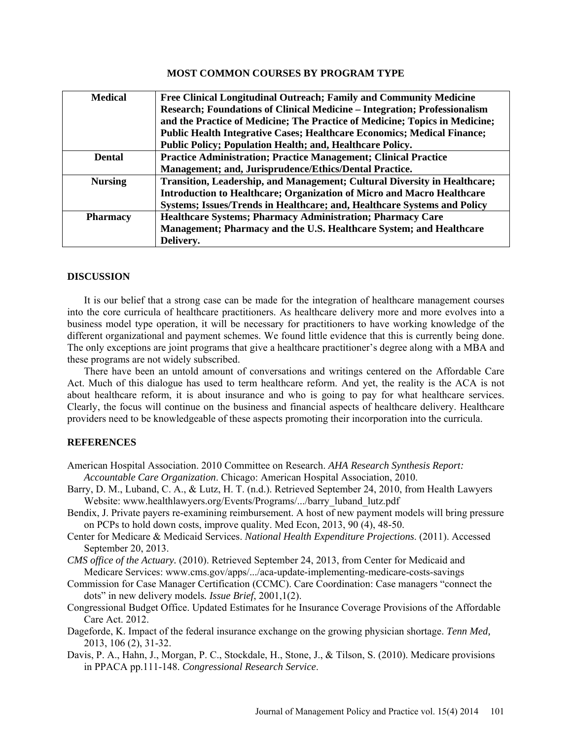### **MOST COMMON COURSES BY PROGRAM TYPE**

| <b>Medical</b>  | Free Clinical Longitudinal Outreach; Family and Community Medicine               |
|-----------------|----------------------------------------------------------------------------------|
|                 | Research; Foundations of Clinical Medicine – Integration; Professionalism        |
|                 | and the Practice of Medicine; The Practice of Medicine; Topics in Medicine;      |
|                 | <b>Public Health Integrative Cases; Healthcare Economics; Medical Finance;</b>   |
|                 | Public Policy; Population Health; and, Healthcare Policy.                        |
| <b>Dental</b>   | <b>Practice Administration; Practice Management; Clinical Practice</b>           |
|                 | Management; and, Jurisprudence/Ethics/Dental Practice.                           |
| <b>Nursing</b>  | <b>Transition, Leadership, and Management; Cultural Diversity in Healthcare;</b> |
|                 | Introduction to Healthcare; Organization of Micro and Macro Healthcare           |
|                 | Systems; Issues/Trends in Healthcare; and, Healthcare Systems and Policy         |
| <b>Pharmacy</b> | Healthcare Systems; Pharmacy Administration; Pharmacy Care                       |
|                 | Management; Pharmacy and the U.S. Healthcare System; and Healthcare              |
|                 | Delivery.                                                                        |

# **DISCUSSION**

It is our belief that a strong case can be made for the integration of healthcare management courses into the core curricula of healthcare practitioners. As healthcare delivery more and more evolves into a business model type operation, it will be necessary for practitioners to have working knowledge of the different organizational and payment schemes. We found little evidence that this is currently being done. The only exceptions are joint programs that give a healthcare practitioner's degree along with a MBA and these programs are not widely subscribed.

There have been an untold amount of conversations and writings centered on the Affordable Care Act. Much of this dialogue has used to term healthcare reform. And yet, the reality is the ACA is not about healthcare reform, it is about insurance and who is going to pay for what healthcare services. Clearly, the focus will continue on the business and financial aspects of healthcare delivery. Healthcare providers need to be knowledgeable of these aspects promoting their incorporation into the curricula.

# **REFERENCES**

- American Hospital Association. 2010 Committee on Research. *AHA Research Synthesis Report: Accountable Care Organization*. Chicago: American Hospital Association, 2010.
- Barry, D. M., Luband, C. A., & Lutz, H. T. (n.d.). Retrieved September 24, 2010, from Health Lawyers Website: [www.healthlawyers.org/Events/Programs/.../barry\\_luband\\_lutz.pdf](http://www.healthlawyers.org/Events/Programs/.../barry_luband_lutz.pdf)
- Bendix, J. Private payers re-examining reimbursement. A host of new payment models will bring pressure on PCPs to hold down costs, improve quality. Med Econ, 2013, 90 (4), 48-50.
- Center for Medicare & Medicaid Services. *National Health Expenditure Projections*. (2011). Accessed September 20, 2013.
- *CMS office of the Actuary.* (2010). Retrieved September 24, 2013, from Center for Medicaid and Medicare Services: [www.cms.gov/apps/.../aca-update-implementing-medicare-costs-savings](http://www.cms.gov/apps/.../aca-update-implementing-medicare-costs-savings)
- Commission for Case Manager Certification (CCMC). Care Coordination: Case managers "connect the dots" in new delivery models*. Issue Brief*, 2001,1(2).
- Congressional Budget Office. Updated Estimates for he Insurance Coverage Provisions of the Affordable Care Act. 2012.
- Dageforde, K. Impact of the federal insurance exchange on the growing physician shortage. *Tenn Med,*  2013, 106 (2), 31-32.
- Davis, P. A., Hahn, J., Morgan, P. C., Stockdale, H., Stone, J., & Tilson, S. (2010). Medicare provisions in PPACA pp.111-148. *Congressional Research Service*.